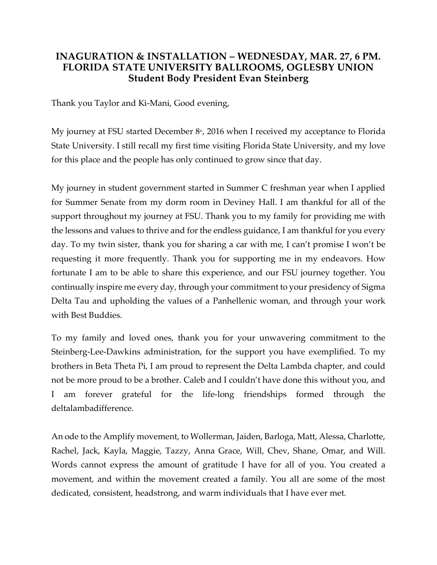## **INAGURATION & INSTALLATION – WEDNESDAY, MAR. 27, 6 PM. FLORIDA STATE UNIVERSITY BALLROOMS, OGLESBY UNION Student Body President Evan Steinberg**

Thank you Taylor and Ki-Mani, Good evening,

My journey at FSU started December  $8<sup>th</sup>$ , 2016 when I received my acceptance to Florida State University. I still recall my first time visiting Florida State University, and my love for this place and the people has only continued to grow since that day.

My journey in student government started in Summer C freshman year when I applied for Summer Senate from my dorm room in Deviney Hall. I am thankful for all of the support throughout my journey at FSU. Thank you to my family for providing me with the lessons and values to thrive and for the endless guidance, I am thankful for you every day. To my twin sister, thank you for sharing a car with me, I can't promise I won't be requesting it more frequently. Thank you for supporting me in my endeavors. How fortunate I am to be able to share this experience, and our FSU journey together. You continually inspire me every day, through your commitment to your presidency of Sigma Delta Tau and upholding the values of a Panhellenic woman, and through your work with Best Buddies.

To my family and loved ones, thank you for your unwavering commitment to the Steinberg-Lee-Dawkins administration, for the support you have exemplified. To my brothers in Beta Theta Pi, I am proud to represent the Delta Lambda chapter, and could not be more proud to be a brother. Caleb and I couldn't have done this without you, and I am forever grateful for the life-long friendships formed through the deltalambadifference.

An ode to the Amplify movement, to Wollerman, Jaiden, Barloga, Matt, Alessa, Charlotte, Rachel, Jack, Kayla, Maggie, Tazzy, Anna Grace, Will, Chev, Shane, Omar, and Will. Words cannot express the amount of gratitude I have for all of you. You created a movement, and within the movement created a family. You all are some of the most dedicated, consistent, headstrong, and warm individuals that I have ever met.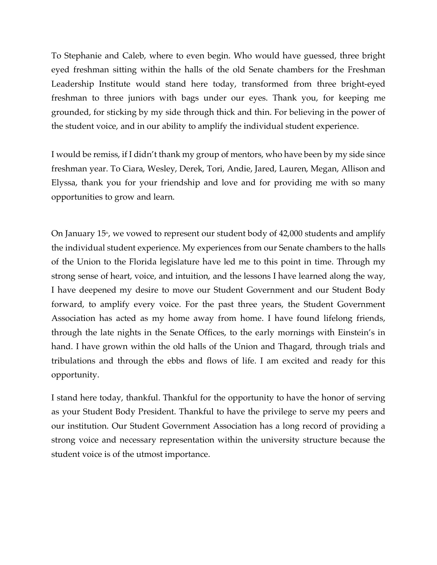To Stephanie and Caleb, where to even begin. Who would have guessed, three bright eyed freshman sitting within the halls of the old Senate chambers for the Freshman Leadership Institute would stand here today, transformed from three bright-eyed freshman to three juniors with bags under our eyes. Thank you, for keeping me grounded, for sticking by my side through thick and thin. For believing in the power of the student voice, and in our ability to amplify the individual student experience.

I would be remiss, if I didn't thank my group of mentors, who have been by my side since freshman year. To Ciara, Wesley, Derek, Tori, Andie, Jared, Lauren, Megan, Allison and Elyssa, thank you for your friendship and love and for providing me with so many opportunities to grow and learn.

On January  $15<sup>n</sup>$ , we vowed to represent our student body of 42,000 students and amplify the individual student experience. My experiences from our Senate chambers to the halls of the Union to the Florida legislature have led me to this point in time. Through my strong sense of heart, voice, and intuition, and the lessons I have learned along the way, I have deepened my desire to move our Student Government and our Student Body forward, to amplify every voice. For the past three years, the Student Government Association has acted as my home away from home. I have found lifelong friends, through the late nights in the Senate Offices, to the early mornings with Einstein's in hand. I have grown within the old halls of the Union and Thagard, through trials and tribulations and through the ebbs and flows of life. I am excited and ready for this opportunity.

I stand here today, thankful. Thankful for the opportunity to have the honor of serving as your Student Body President. Thankful to have the privilege to serve my peers and our institution. Our Student Government Association has a long record of providing a strong voice and necessary representation within the university structure because the student voice is of the utmost importance.